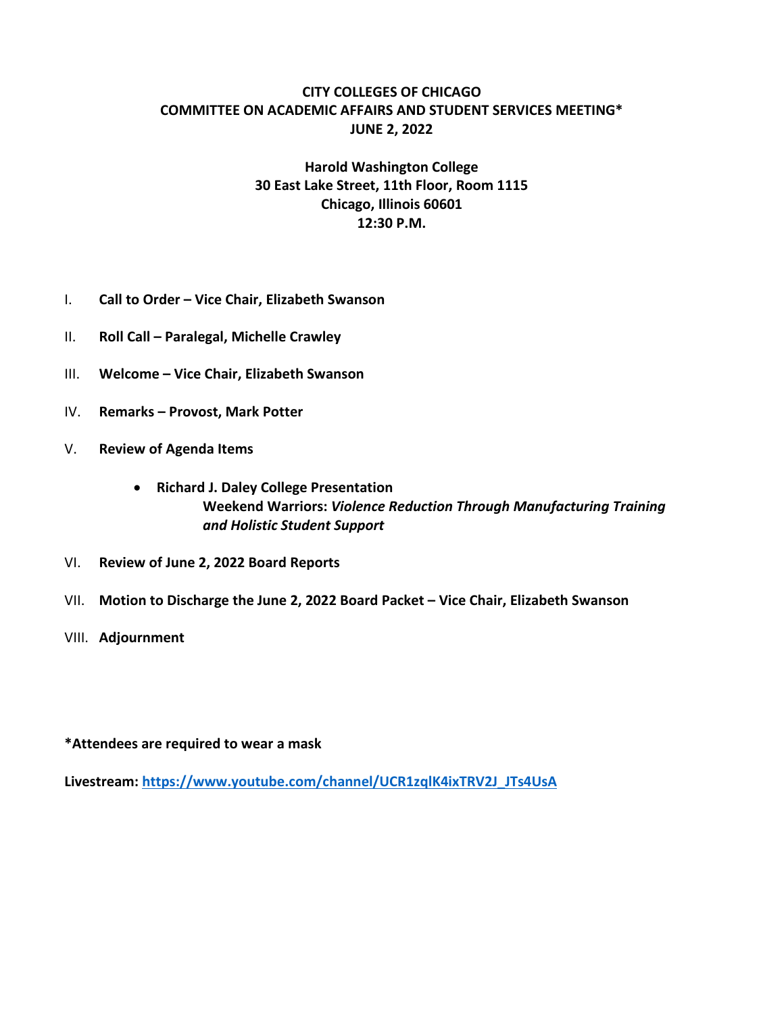## **CITY COLLEGES OF CHICAGO COMMITTEE ON ACADEMIC AFFAIRS AND STUDENT SERVICES MEETING\* JUNE 2, 2022**

## **Harold Washington College 30 East Lake Street, 11th Floor, Room 1115 Chicago, Illinois 60601 12:30 P.M.**

- I. **Call to Order – Vice Chair, Elizabeth Swanson**
- II. **Roll Call – Paralegal, Michelle Crawley**
- III. **Welcome – Vice Chair, Elizabeth Swanson**
- IV. **Remarks – Provost, Mark Potter**
- V. **Review of Agenda Items**
	- **Richard J. Daley College Presentation Weekend Warriors:** *Violence Reduction Through Manufacturing Training and Holistic Student Support*
- VI. **Review of June 2, 2022 Board Reports**
- VII. **Motion to Discharge the June 2, 2022 Board Packet – Vice Chair, Elizabeth Swanson**
- VIII. **Adjournment**

**\*Attendees are required to wear a mask** 

**Livestream: https://www.youtube.com/channel/UCR1zqlK4ixTRV2J\_JTs4UsA**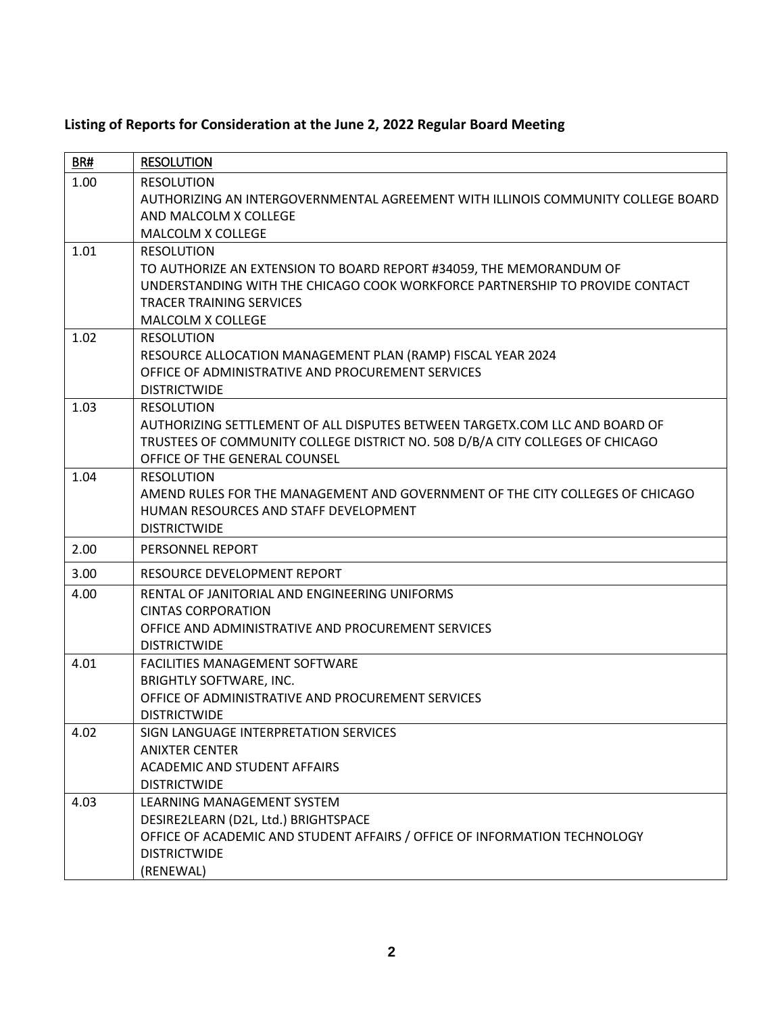|  |  | Listing of Reports for Consideration at the June 2, 2022 Regular Board Meeting |
|--|--|--------------------------------------------------------------------------------|
|--|--|--------------------------------------------------------------------------------|

| BR#  | <b>RESOLUTION</b>                                                                                                                                                                                                                       |
|------|-----------------------------------------------------------------------------------------------------------------------------------------------------------------------------------------------------------------------------------------|
| 1.00 | <b>RESOLUTION</b><br>AUTHORIZING AN INTERGOVERNMENTAL AGREEMENT WITH ILLINOIS COMMUNITY COLLEGE BOARD<br>AND MALCOLM X COLLEGE<br><b>MALCOLM X COLLEGE</b>                                                                              |
| 1.01 | <b>RESOLUTION</b><br>TO AUTHORIZE AN EXTENSION TO BOARD REPORT #34059, THE MEMORANDUM OF<br>UNDERSTANDING WITH THE CHICAGO COOK WORKFORCE PARTNERSHIP TO PROVIDE CONTACT<br><b>TRACER TRAINING SERVICES</b><br><b>MALCOLM X COLLEGE</b> |
| 1.02 | <b>RESOLUTION</b><br>RESOURCE ALLOCATION MANAGEMENT PLAN (RAMP) FISCAL YEAR 2024<br>OFFICE OF ADMINISTRATIVE AND PROCUREMENT SERVICES<br><b>DISTRICTWIDE</b>                                                                            |
| 1.03 | <b>RESOLUTION</b><br>AUTHORIZING SETTLEMENT OF ALL DISPUTES BETWEEN TARGETX.COM LLC AND BOARD OF<br>TRUSTEES OF COMMUNITY COLLEGE DISTRICT NO. 508 D/B/A CITY COLLEGES OF CHICAGO<br>OFFICE OF THE GENERAL COUNSEL                      |
| 1.04 | <b>RESOLUTION</b><br>AMEND RULES FOR THE MANAGEMENT AND GOVERNMENT OF THE CITY COLLEGES OF CHICAGO<br>HUMAN RESOURCES AND STAFF DEVELOPMENT<br><b>DISTRICTWIDE</b>                                                                      |
| 2.00 | PERSONNEL REPORT                                                                                                                                                                                                                        |
| 3.00 | RESOURCE DEVELOPMENT REPORT                                                                                                                                                                                                             |
| 4.00 | RENTAL OF JANITORIAL AND ENGINEERING UNIFORMS<br><b>CINTAS CORPORATION</b><br>OFFICE AND ADMINISTRATIVE AND PROCUREMENT SERVICES<br><b>DISTRICTWIDE</b>                                                                                 |
| 4.01 | FACILITIES MANAGEMENT SOFTWARE<br><b>BRIGHTLY SOFTWARE, INC.</b><br>OFFICE OF ADMINISTRATIVE AND PROCUREMENT SERVICES<br><b>DISTRICTWIDE</b>                                                                                            |
| 4.02 | SIGN LANGUAGE INTERPRETATION SERVICES<br><b>ANIXTER CENTER</b><br>ACADEMIC AND STUDENT AFFAIRS<br><b>DISTRICTWIDE</b>                                                                                                                   |
| 4.03 | LEARNING MANAGEMENT SYSTEM<br>DESIRE2LEARN (D2L, Ltd.) BRIGHTSPACE<br>OFFICE OF ACADEMIC AND STUDENT AFFAIRS / OFFICE OF INFORMATION TECHNOLOGY<br><b>DISTRICTWIDE</b><br>(RENEWAL)                                                     |